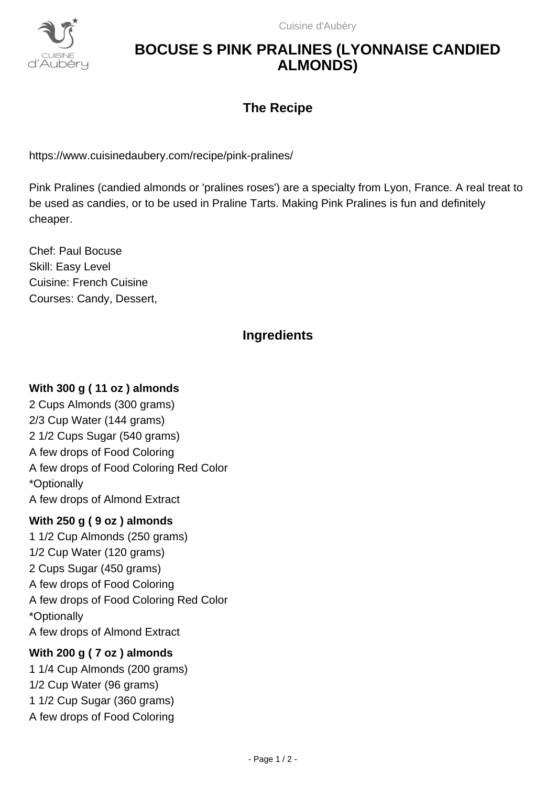

# **BOCUSE S PINK PRALINES (LYONNAISE CANDIED ALMONDS)**

## **The Recipe**

https://www.cuisinedaubery.com/recipe/pink-pralines/

Pink Pralines (candied almonds or 'pralines roses') are a specialty from Lyon, France. A real treat to be used as candies, or to be used in Praline Tarts. Making Pink Pralines is fun and definitely cheaper.

Chef: Paul Bocuse Skill: Easy Level Cuisine: French Cuisine Courses: Candy, Dessert,

## **Ingredients**

#### **With 300 g ( 11 oz ) almonds**

2 Cups Almonds (300 grams) 2/3 Cup Water (144 grams) 2 1/2 Cups Sugar (540 grams) A few drops of Food Coloring A few drops of Food Coloring Red Color \*Optionally A few drops of Almond Extract

#### **With 250 g ( 9 oz ) almonds**

1 1/2 Cup Almonds (250 grams) 1/2 Cup Water (120 grams) 2 Cups Sugar (450 grams) A few drops of Food Coloring A few drops of Food Coloring Red Color \*Optionally A few drops of Almond Extract

#### **With 200 g ( 7 oz ) almonds**

1 1/4 Cup Almonds (200 grams) 1/2 Cup Water (96 grams) 1 1/2 Cup Sugar (360 grams) A few drops of Food Coloring